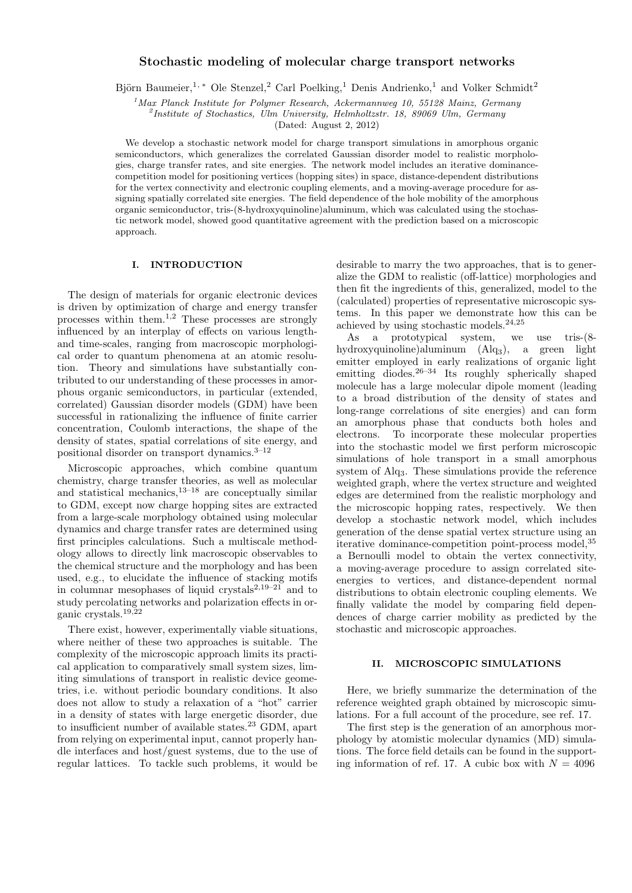# **Stochastic modeling of molecular charge transport networks**

Björn Baumeier,<sup>1, \*</sup> Ole Stenzel,<sup>2</sup> Carl Poelking,<sup>1</sup> Denis Andrienko,<sup>1</sup> and Volker Schmidt<sup>2</sup>

*<sup>1</sup>Max Planck Institute for Polymer Research, Ackermannweg 10, 55128 Mainz, Germany*

*2 Institute of Stochastics, Ulm University, Helmholtzstr. 18, 89069 Ulm, Germany*

(Dated: August 2, 2012)

We develop a stochastic network model for charge transport simulations in amorphous organic semiconductors, which generalizes the correlated Gaussian disorder model to realistic morphologies, charge transfer rates, and site energies. The network model includes an iterative dominancecompetition model for positioning vertices (hopping sites) in space, distance-dependent distributions for the vertex connectivity and electronic coupling elements, and a moving-average procedure for assigning spatially correlated site energies. The field dependence of the hole mobility of the amorphous organic semiconductor, tris-(8-hydroxyquinoline)aluminum, which was calculated using the stochastic network model, showed good quantitative agreement with the prediction based on a microscopic approach.

# **I. INTRODUCTION**

The design of materials for organic electronic devices is driven by optimization of charge and energy transfer processes within them.1,2 These processes are strongly influenced by an interplay of effects on various lengthand time-scales, ranging from macroscopic morphological order to quantum phenomena at an atomic resolution. Theory and simulations have substantially contributed to our understanding of these processes in amorphous organic semiconductors, in particular (extended, correlated) Gaussian disorder models (GDM) have been successful in rationalizing the influence of finite carrier concentration, Coulomb interactions, the shape of the density of states, spatial correlations of site energy, and positional disorder on transport dynamics.3–12

Microscopic approaches, which combine quantum chemistry, charge transfer theories, as well as molecular and statistical mechanics, $13-18$  are conceptually similar to GDM, except now charge hopping sites are extracted from a large-scale morphology obtained using molecular dynamics and charge transfer rates are determined using first principles calculations. Such a multiscale methodology allows to directly link macroscopic observables to the chemical structure and the morphology and has been used, e.g., to elucidate the influence of stacking motifs in columnar mesophases of liquid crystals<sup>2,19–21</sup> and to study percolating networks and polarization effects in organic crystals.19,22

There exist, however, experimentally viable situations, where neither of these two approaches is suitable. The complexity of the microscopic approach limits its practical application to comparatively small system sizes, limiting simulations of transport in realistic device geometries, i.e. without periodic boundary conditions. It also does not allow to study a relaxation of a "hot" carrier in a density of states with large energetic disorder, due to insufficient number of available states.<sup>23</sup> GDM, apart from relying on experimental input, cannot properly handle interfaces and host/guest systems, due to the use of regular lattices. To tackle such problems, it would be desirable to marry the two approaches, that is to generalize the GDM to realistic (off-lattice) morphologies and then fit the ingredients of this, generalized, model to the (calculated) properties of representative microscopic systems. In this paper we demonstrate how this can be achieved by using stochastic models.24,25

As a prototypical system, we use tris-(8 hydroxyquinoline)aluminum (Alq3), a green light emitter employed in early realizations of organic light emitting diodes.  $26-34$  Its roughly spherically shaped molecule has a large molecular dipole moment (leading to a broad distribution of the density of states and long-range correlations of site energies) and can form an amorphous phase that conducts both holes and electrons. To incorporate these molecular properties into the stochastic model we first perform microscopic simulations of hole transport in a small amorphous system of Alq3. These simulations provide the reference weighted graph, where the vertex structure and weighted edges are determined from the realistic morphology and the microscopic hopping rates, respectively. We then develop a stochastic network model, which includes generation of the dense spatial vertex structure using an iterative dominance-competition point-process model,<sup>35</sup> a Bernoulli model to obtain the vertex connectivity, a moving-average procedure to assign correlated siteenergies to vertices, and distance-dependent normal distributions to obtain electronic coupling elements. We finally validate the model by comparing field dependences of charge carrier mobility as predicted by the stochastic and microscopic approaches.

# **II. MICROSCOPIC SIMULATIONS**

Here, we briefly summarize the determination of the reference weighted graph obtained by microscopic simulations. For a full account of the procedure, see ref. 17.

The first step is the generation of an amorphous morphology by atomistic molecular dynamics (MD) simulations. The force field details can be found in the supporting information of ref. 17. A cubic box with  $N = 4096$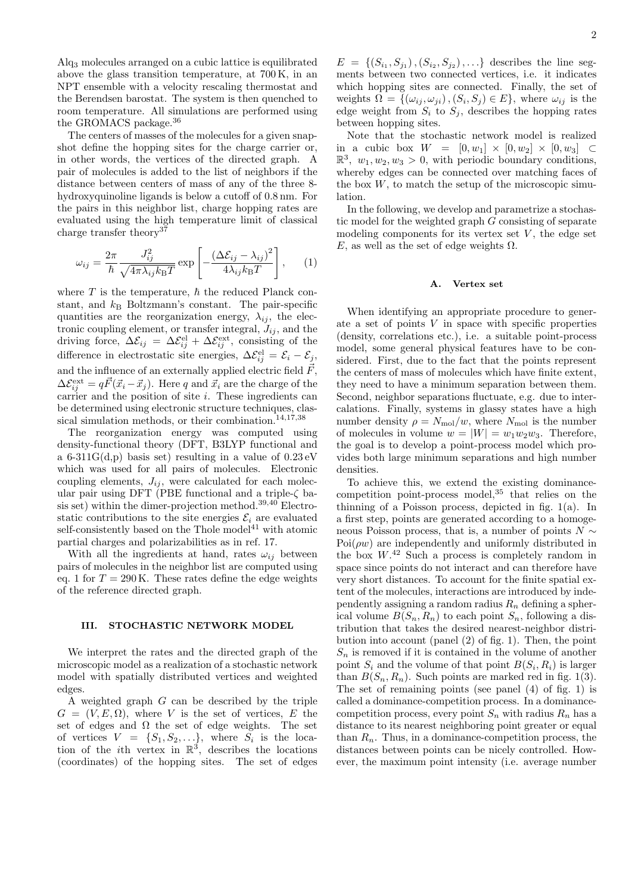Alq<sup>3</sup> molecules arranged on a cubic lattice is equilibrated above the glass transition temperature, at 700 K, in an NPT ensemble with a velocity rescaling thermostat and the Berendsen barostat. The system is then quenched to room temperature. All simulations are performed using the GROMACS package.<sup>36</sup>

The centers of masses of the molecules for a given snapshot define the hopping sites for the charge carrier or, in other words, the vertices of the directed graph. A pair of molecules is added to the list of neighbors if the distance between centers of mass of any of the three 8 hydroxyquinoline ligands is below a cutoff of 0.8 nm. For the pairs in this neighbor list, charge hopping rates are evaluated using the high temperature limit of classical charge transfer theory<sup>37</sup>

$$
\omega_{ij} = \frac{2\pi}{\hbar} \frac{J_{ij}^2}{\sqrt{4\pi\lambda_{ij}k_{\text{B}}T}} \exp\left[-\frac{(\Delta\mathcal{E}_{ij} - \lambda_{ij})^2}{4\lambda_{ij}k_{\text{B}}T}\right],\qquad(1)
$$

where  $T$  is the temperature,  $\hbar$  the reduced Planck constant, and  $k_B$  Boltzmann's constant. The pair-specific quantities are the reorganization energy,  $\lambda_{ij}$ , the electronic coupling element, or transfer integral,  $J_{ij}$ , and the driving force,  $\Delta \mathcal{E}_{ij} = \Delta \mathcal{E}_{ij}^{\text{el}} + \Delta \mathcal{E}_{ij}^{\text{ext}}$ , consisting of the difference in electrostatic site energies,  $\Delta \mathcal{E}_{ij}^{\text{el}} = \mathcal{E}_i - \mathcal{E}_j$ , and the influence of an externally applied electric field  $\vec{F}$ ,  $\Delta \mathcal{E}_{ij}^{\text{ext}} = q \vec{F}(\vec{x}_i - \vec{x}_j)$ . Here *q* and  $\vec{x}_i$  are the charge of the carrier and the position of site *i*. These ingredients can be determined using electronic structure techniques, classical simulation methods, or their combination. $14,17,38$ 

The reorganization energy was computed using density-functional theory (DFT, B3LYP functional and a 6-311 $G(d,p)$  basis set) resulting in a value of  $0.23 \text{ eV}$ which was used for all pairs of molecules. Electronic coupling elements,  $J_{ij}$ , were calculated for each molecular pair using DFT (PBE functional and a triple-*ζ* basis set) within the dimer-projection method.<sup>39,40</sup> Electrostatic contributions to the site energies  $\mathcal{E}_i$  are evaluated self-consistently based on the Thole model $^{41}$  with atomic partial charges and polarizabilities as in ref. 17.

With all the ingredients at hand, rates  $\omega_{ij}$  between pairs of molecules in the neighbor list are computed using eq. 1 for  $T = 290 \text{ K}$ . These rates define the edge weights of the reference directed graph.

### **III. STOCHASTIC NETWORK MODEL**

We interpret the rates and the directed graph of the microscopic model as a realization of a stochastic network model with spatially distributed vertices and weighted edges.

A weighted graph *G* can be described by the triple  $G = (V, E, \Omega)$ , where *V* is the set of vertices, *E* the set of edges and  $\Omega$  the set of edge weights. The set of vertices  $V = \{S_1, S_2, \ldots\}$ , where  $S_i$  is the location of the *i*th vertex in  $\mathbb{R}^3$ , describes the locations (coordinates) of the hopping sites. The set of edges

 $E = \{(S_{i_1}, S_{j_1}), (S_{i_2}, S_{j_2}), \ldots\}$  describes the line segments between two connected vertices, i.e. it indicates which hopping sites are connected. Finally, the set of weights  $\Omega = \{(\omega_{ij}, \omega_{ji}), (S_i, S_j) \in E\}$ , where  $\omega_{ij}$  is the edge weight from  $S_i$  to  $S_j$ , describes the hopping rates between hopping sites.

Note that the stochastic network model is realized in a cubic box *W* = [0*, w*1] *×* [0*, w*2] *×* [0*, w*3] *⊂*  $\mathbb{R}^3$ ,  $w_1, w_2, w_3 > 0$ , with periodic boundary conditions, whereby edges can be connected over matching faces of the box  $W$ , to match the setup of the microscopic simulation.

In the following, we develop and parametrize a stochastic model for the weighted graph *G* consisting of separate modeling components for its vertex set  $V$ , the edge set *E*, as well as the set of edge weights  $\Omega$ .

### **A. Vertex set**

When identifying an appropriate procedure to generate a set of points *V* in space with specific properties (density, correlations etc.), i.e. a suitable point-process model, some general physical features have to be considered. First, due to the fact that the points represent the centers of mass of molecules which have finite extent, they need to have a minimum separation between them. Second, neighbor separations fluctuate, e.g. due to intercalations. Finally, systems in glassy states have a high number density  $\rho = N_{\text{mol}}/w$ , where  $N_{\text{mol}}$  is the number of molecules in volume  $w = |W| = w_1w_2w_3$ . Therefore, the goal is to develop a point-process model which provides both large minimum separations and high number densities.

To achieve this, we extend the existing dominancecompetition point-process model,  $35$  that relies on the thinning of a Poisson process, depicted in fig. 1(a). In a first step, points are generated according to a homogeneous Poisson process, that is, a number of points  $N \sim$  $Poi(\rho w)$  are independently and uniformly distributed in the box  $W<sup>42</sup>$  Such a process is completely random in space since points do not interact and can therefore have very short distances. To account for the finite spatial extent of the molecules, interactions are introduced by independently assigning a random radius  $R_n$  defining a spherical volume  $B(S_n, R_n)$  to each point  $S_n$ , following a distribution that takes the desired nearest-neighbor distribution into account (panel (2) of fig. 1). Then, the point  $S_n$  is removed if it is contained in the volume of another point  $S_i$  and the volume of that point  $B(S_i, R_i)$  is larger than  $B(S_n, R_n)$ . Such points are marked red in fig. 1(3). The set of remaining points (see panel (4) of fig. 1) is called a dominance-competition process. In a dominancecompetition process, every point  $S_n$  with radius  $R_n$  has a distance to its nearest neighboring point greater or equal than  $R_n$ . Thus, in a dominance-competition process, the distances between points can be nicely controlled. However, the maximum point intensity (i.e. average number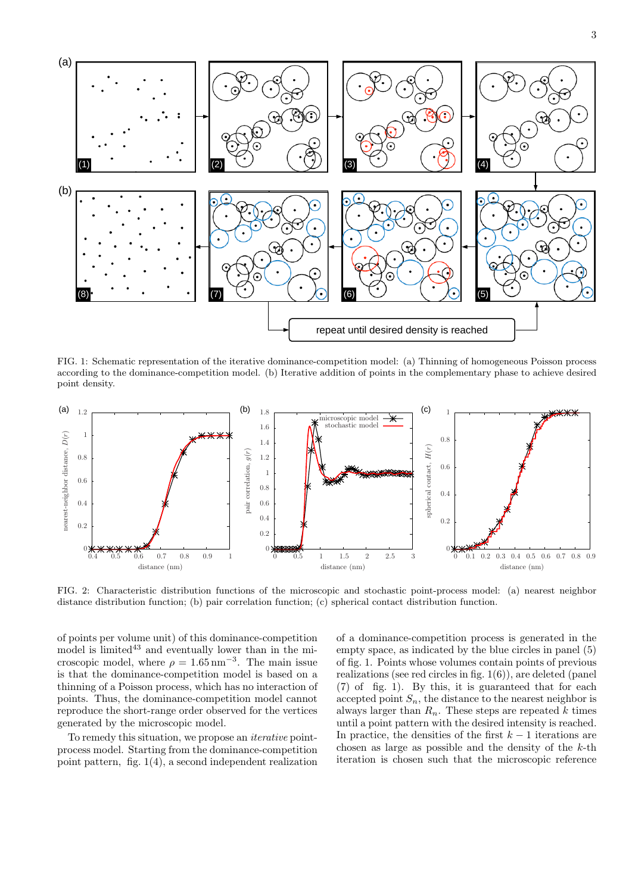

FIG. 1: Schematic representation of the iterative dominance-competition model: (a) Thinning of homogeneous Poisson process according to the dominance-competition model. (b) Iterative addition of points in the complementary phase to achieve desired point density.



FIG. 2: Characteristic distribution functions of the microscopic and stochastic point-process model: (a) nearest neighbor distance distribution function; (b) pair correlation function; (c) spherical contact distribution function.

of points per volume unit) of this dominance-competition model is  $\text{limited}^{43}$  and eventually lower than in the microscopic model, where  $\rho = 1.65 \text{ nm}^{-3}$ . The main issue is that the dominance-competition model is based on a thinning of a Poisson process, which has no interaction of points. Thus, the dominance-competition model cannot reproduce the short-range order observed for the vertices generated by the microscopic model.

To remedy this situation, we propose an *iterative* pointprocess model. Starting from the dominance-competition point pattern, fig. 1(4), a second independent realization of a dominance-competition process is generated in the empty space, as indicated by the blue circles in panel (5) of fig. 1. Points whose volumes contain points of previous realizations (see red circles in fig. 1(6)), are deleted (panel (7) of fig. 1). By this, it is guaranteed that for each accepted point  $S_n$ , the distance to the nearest neighbor is always larger than  $R_n$ . These steps are repeated  $k$  times until a point pattern with the desired intensity is reached. In practice, the densities of the first  $k-1$  iterations are chosen as large as possible and the density of the *k*-th iteration is chosen such that the microscopic reference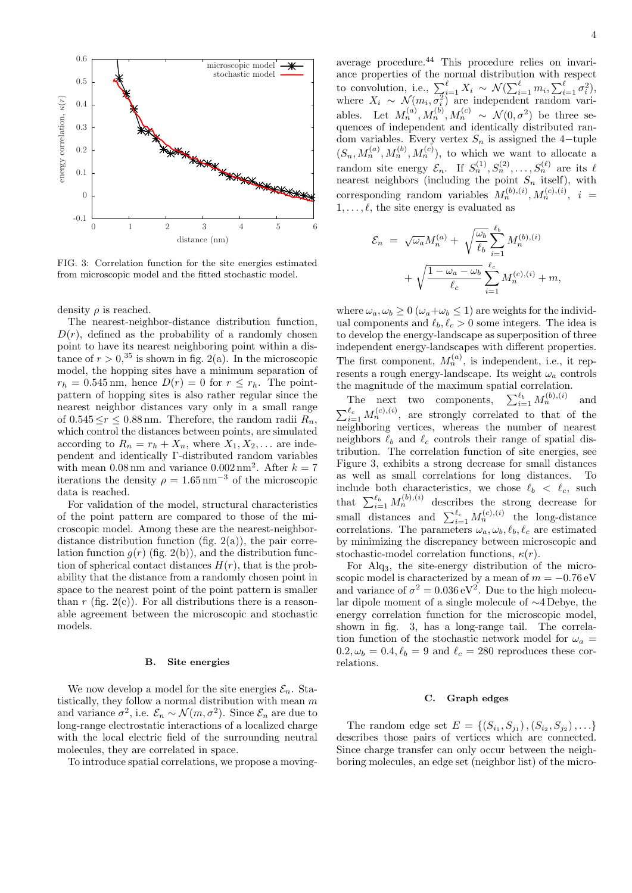

FIG. 3: Correlation function for the site energies estimated from microscopic model and the fitted stochastic model.

density *ρ* is reached.

The nearest-neighbor-distance distribution function,  $D(r)$ , defined as the probability of a randomly chosen point to have its nearest neighboring point within a distance of  $r > 0$ ,<sup>35</sup> is shown in fig. 2(a). In the microscopic model, the hopping sites have a minimum separation of  $r_h = 0.545$  nm, hence  $D(r) = 0$  for  $r \leq r_h$ . The pointpattern of hopping sites is also rather regular since the nearest neighbor distances vary only in a small range of  $0.545 \leq r \leq 0.88$  nm. Therefore, the random radii  $R_n$ , which control the distances between points, are simulated according to  $R_n = r_h + X_n$ , where  $X_1, X_2, \ldots$  are independent and identically Γ-distributed random variables with mean  $0.08 \text{ nm}$  and variance  $0.002 \text{ nm}^2$ . After  $k = 7$ iterations the density  $\rho = 1.65 \text{ nm}^{-3}$  of the microscopic data is reached.

For validation of the model, structural characteristics of the point pattern are compared to those of the microscopic model. Among these are the nearest-neighbordistance distribution function (fig.  $2(a)$ ), the pair correlation function  $q(r)$  (fig. 2(b)), and the distribution function of spherical contact distances  $H(r)$ , that is the probability that the distance from a randomly chosen point in space to the nearest point of the point pattern is smaller than  $r$  (fig. 2(c)). For all distributions there is a reasonable agreement between the microscopic and stochastic models.

#### **B. Site energies**

We now develop a model for the site energies  $\mathcal{E}_n$ . Statistically, they follow a normal distribution with mean *m* and variance  $\sigma^2$ , i.e.  $\mathcal{E}_n \sim \mathcal{N}(m, \sigma^2)$ . Since  $\mathcal{E}_n$  are due to long-range electrostatic interactions of a localized charge with the local electric field of the surrounding neutral molecules, they are correlated in space.

To introduce spatial correlations, we propose a moving-

4

average procedure.<sup>44</sup> This procedure relies on invariance properties of the normal distribution with respect to convolution, i.e.,  $\sum_{i=1}^{\ell} X_i \sim \mathcal{N}(\sum_{i=1}^{\ell} m_i, \sum_{i=1}^{\ell} \sigma_i^2)$ where  $X_i \sim \mathcal{N}(m_i, \overline{\sigma_i^2})$  are independent random variables. Let  $M_n^{(a)}, M_n^{(b)}, M_n^{(c)} \sim \mathcal{N}(0, \sigma^2)$  be three sequences of independent and identically distributed random variables. Every vertex  $S_n$  is assigned the 4*−*tuple  $(S_n, M_n^{(a)}, M_n^{(b)}, M_n^{(c)})$ , to which we want to allocate a random site energy  $\mathcal{E}_n$ . If  $S_n^{(1)}, S_n^{(2)}, \ldots, S_n^{(\ell)}$  are its  $\ell$ nearest neighbors (including the point  $S_n$  itself), with corresponding random variables  $M_n^{(b),(i)}, M_n^{(c),(i)}, i =$ 1*, . . . , ℓ*, the site energy is evaluated as

$$
\mathcal{E}_n = \sqrt{\omega_a} M_n^{(a)} + \sqrt{\frac{\omega_b}{\ell_b}} \sum_{i=1}^{\ell_b} M_n^{(b),(i)}
$$

$$
+ \sqrt{\frac{1 - \omega_a - \omega_b}{\ell_c}} \sum_{i=1}^{\ell_c} M_n^{(c),(i)} + m,
$$

where  $\omega_a, \omega_b \geq 0$  ( $\omega_a + \omega_b \leq 1$ ) are weights for the individual components and  $\ell_b, \ell_c > 0$  some integers. The idea is to develop the energy-landscape as superposition of three independent energy-landscapes with different properties. The first component,  $M_n^{(a)}$ , is independent, i.e., it represents a rough energy-landscape. Its weight *ω<sup>a</sup>* controls the magnitude of the maximum spatial correlation.

The next two components,  $\sum_{i=1}^{\ell_b} M_n^{(b),(i)}$  and  $\sum_{i=1}^{\ell_c} M_n^{(c),(i)}$ , are strongly correlated to that of the neighboring vertices, whereas the number of nearest neighbors  $\ell_b$  and  $\ell_c$  controls their range of spatial distribution. The correlation function of site energies, see Figure 3, exhibits a strong decrease for small distances as well as small correlations for long distances. To include both characteristics, we chose  $\ell_b < \ell_c$ , such that  $\sum_{i=1}^{\ell_b} M_n^{(b),(i)}$  describes the strong decrease for small distances and  $\sum_{i=1}^{\ell_c} M_n^{(c),(i)}$  the long-distance correlations. The parameters  $\omega_a, \omega_b, \ell_b, \ell_c$  are estimated by minimizing the discrepancy between microscopic and stochastic-model correlation functions,  $\kappa(r)$ .

For Alq3, the site-energy distribution of the microscopic model is characterized by a mean of  $m = -0.76$  eV and variance of  $\sigma^2 = 0.036 \,\mathrm{eV}^2$ . Due to the high molecular dipole moment of a single molecule of *∼*4 Debye, the energy correlation function for the microscopic model, shown in fig. 3, has a long-range tail. The correlation function of the stochastic network model for  $\omega_a$  $0.2, \omega_b = 0.4, \ell_b = 9$  and  $\ell_c = 280$  reproduces these correlations.

#### **C. Graph edges**

The random edge set  $E = \{(S_{i_1}, S_{j_1}), (S_{i_2}, S_{j_2}), \ldots\}$ describes those pairs of vertices which are connected. Since charge transfer can only occur between the neighboring molecules, an edge set (neighbor list) of the micro-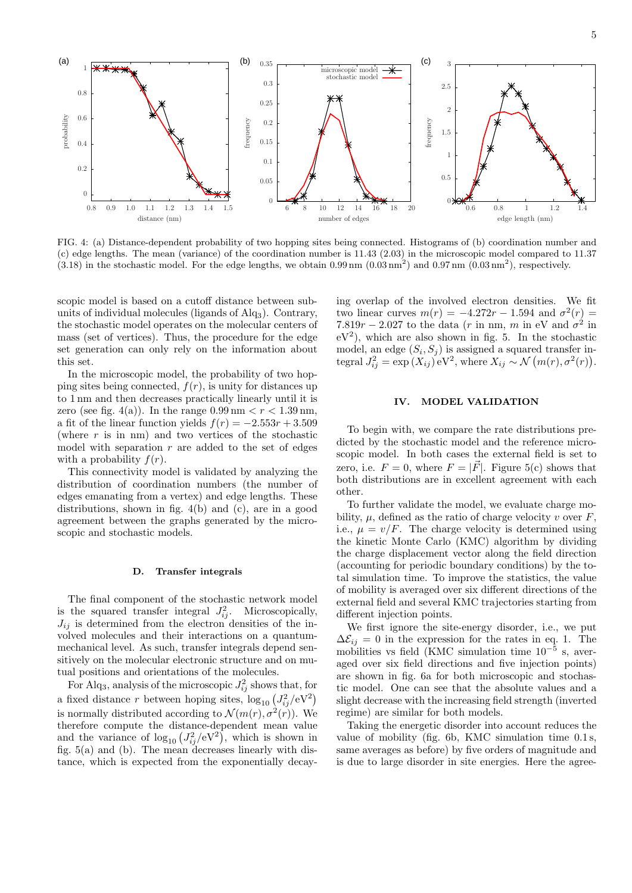

FIG. 4: (a) Distance-dependent probability of two hopping sites being connected. Histograms of (b) coordination number and (c) edge lengths. The mean (variance) of the coordination number is 11.43 (2.03) in the microscopic model compared to 11.37  $(3.18)$  in the stochastic model. For the edge lengths, we obtain  $0.99 \text{ nm } (0.03 \text{ nm}^2)$  and  $0.97 \text{ nm } (0.03 \text{ nm}^2)$ , respectively.

scopic model is based on a cutoff distance between subunits of individual molecules (ligands of Alq3). Contrary, the stochastic model operates on the molecular centers of mass (set of vertices). Thus, the procedure for the edge set generation can only rely on the information about this set.

In the microscopic model, the probability of two hopping sites being connected, *f*(*r*), is unity for distances up to 1 nm and then decreases practically linearly until it is zero (see fig. 4(a)). In the range  $0.99 \text{ nm} < r < 1.39 \text{ nm}$ , a fit of the linear function yields  $f(r) = -2.553r + 3.509$ (where  $r$  is in nm) and two vertices of the stochastic model with separation *r* are added to the set of edges with a probability  $f(r)$ .

This connectivity model is validated by analyzing the distribution of coordination numbers (the number of edges emanating from a vertex) and edge lengths. These distributions, shown in fig. 4(b) and (c), are in a good agreement between the graphs generated by the microscopic and stochastic models.

#### **D. Transfer integrals**

The final component of the stochastic network model is the squared transfer integral  $J_{ij}^2$ . Microscopically,  $J_{ij}$  is determined from the electron densities of the involved molecules and their interactions on a quantummechanical level. As such, transfer integrals depend sensitively on the molecular electronic structure and on mutual positions and orientations of the molecules.

For Alq<sub>3</sub>, analysis of the microscopic  $J_{ij}^2$  shows that, for a fixed distance *r* between hoping sites,  $\log_{10} (J_{ij}^2/eV^2)$ is normally distributed according to  $\mathcal{N}(m(r), \sigma^2(r))$ . We therefore compute the distance-dependent mean value and the variance of  $\log_{10} (J_{ij}^2/eV^2)$ , which is shown in fig. 5(a) and (b). The mean decreases linearly with distance, which is expected from the exponentially decaying overlap of the involved electron densities. We fit two linear curves  $m(r) = -4.272r - 1.594$  and  $σ<sup>2</sup>(r) =$  $7.819r - 2.027$  to the data (*r* in nm, *m* in eV and  $\sigma^2$  in  $eV^2$ ), which are also shown in fig. 5. In the stochastic model, an edge  $(S_i, S_j)$  is assigned a squared transfer integral  $J_{ij}^2 = \exp(X_{ij}) eV^2$ , where  $X_{ij} \sim \mathcal{N}(m(r), \sigma^2(r))$ .

# **IV. MODEL VALIDATION**

To begin with, we compare the rate distributions predicted by the stochastic model and the reference microscopic model. In both cases the external field is set to zero, i.e.  $F = 0$ , where  $F = |\overrightarrow{F}|$ . Figure 5(c) shows that both distributions are in excellent agreement with each other.

To further validate the model, we evaluate charge mobility,  $\mu$ , defined as the ratio of charge velocity  $v$  over  $F$ , i.e.,  $\mu = v/F$ . The charge velocity is determined using the kinetic Monte Carlo (KMC) algorithm by dividing the charge displacement vector along the field direction (accounting for periodic boundary conditions) by the total simulation time. To improve the statistics, the value of mobility is averaged over six different directions of the external field and several KMC trajectories starting from different injection points.

We first ignore the site-energy disorder, i.e., we put  $\Delta \mathcal{E}_{ij} = 0$  in the expression for the rates in eq. 1. The mobilities vs field (KMC simulation time 10*−*<sup>5</sup> s, averaged over six field directions and five injection points) are shown in fig. 6a for both microscopic and stochastic model. One can see that the absolute values and a slight decrease with the increasing field strength (inverted regime) are similar for both models.

Taking the energetic disorder into account reduces the value of mobility (fig. 6b, KMC simulation time 0*.*1 s, same averages as before) by five orders of magnitude and is due to large disorder in site energies. Here the agree-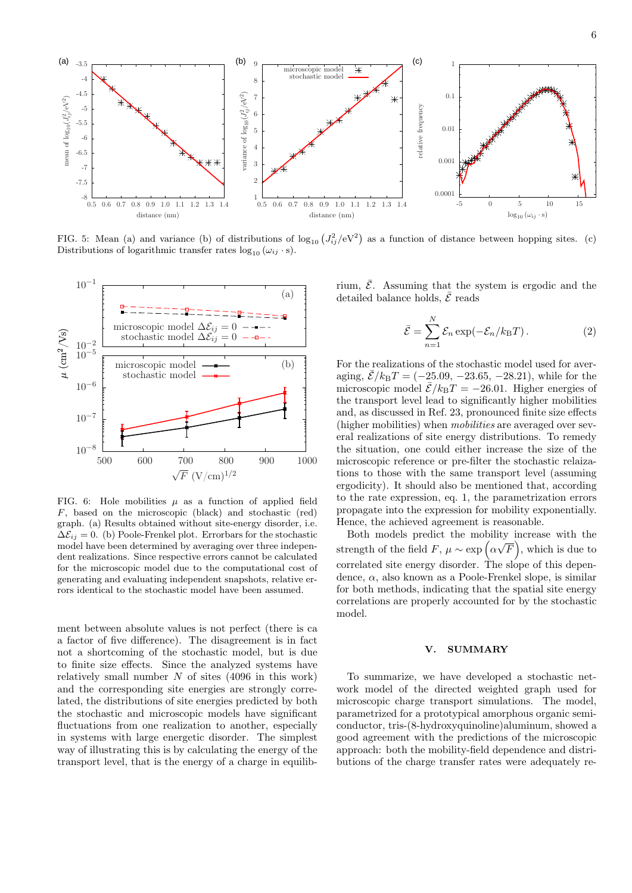

FIG. 5: Mean (a) and variance (b) of distributions of  $\log_{10} (J_{ij}^2/eV^2)$  as a function of distance between hopping sites. (c) Distributions of logarithmic transfer rates  $log_{10} (\omega_{ij} \cdot s)$ .



FIG. 6: Hole mobilities  $\mu$  as a function of applied field *F*, based on the microscopic (black) and stochastic (red) graph. (a) Results obtained without site-energy disorder, i.e.  $\Delta \mathcal{E}_{ij} = 0$ . (b) Poole-Frenkel plot. Errorbars for the stochastic model have been determined by averaging over three independent realizations. Since respective errors cannot be calculated for the microscopic model due to the computational cost of generating and evaluating independent snapshots, relative errors identical to the stochastic model have been assumed.

ment between absolute values is not perfect (there is ca a factor of five difference). The disagreement is in fact not a shortcoming of the stochastic model, but is due to finite size effects. Since the analyzed systems have relatively small number *N* of sites (4096 in this work) and the corresponding site energies are strongly correlated, the distributions of site energies predicted by both the stochastic and microscopic models have significant fluctuations from one realization to another, especially in systems with large energetic disorder. The simplest way of illustrating this is by calculating the energy of the transport level, that is the energy of a charge in equilibrium,  $\overline{\mathcal{E}}$ . Assuming that the system is ergodic and the detailed balance holds,  $\bar{\mathcal{E}}$  reads

$$
\bar{\mathcal{E}} = \sum_{n=1}^{N} \mathcal{E}_n \exp(-\mathcal{E}_n / k_{\text{B}} T). \tag{2}
$$

For the realizations of the stochastic model used for averaging,  $\bar{\mathcal{E}}/k_BT = (-25.09, -23.65, -28.21)$ , while for the microscopic model  $\bar{\mathcal{E}}/k_BT = -26.01$ . Higher energies of the transport level lead to significantly higher mobilities and, as discussed in Ref. 23, pronounced finite size effects (higher mobilities) when *mobilities* are averaged over several realizations of site energy distributions. To remedy the situation, one could either increase the size of the microscopic reference or pre-filter the stochastic relaizations to those with the same transport level (assuming ergodicity). It should also be mentioned that, according to the rate expression, eq. 1, the parametrization errors propagate into the expression for mobility exponentially. Hence, the achieved agreement is reasonable.

Both models predict the mobility increase with the *√* strength of the field  $F, \mu \sim \exp\left(\alpha \sqrt{F}\right)$ , which is due to correlated site energy disorder. The slope of this dependence, *α*, also known as a Poole-Frenkel slope, is similar for both methods, indicating that the spatial site energy correlations are properly accounted for by the stochastic model.

# **V. SUMMARY**

To summarize, we have developed a stochastic network model of the directed weighted graph used for microscopic charge transport simulations. The model, parametrized for a prototypical amorphous organic semiconductor, tris-(8-hydroxyquinoline)aluminum, showed a good agreement with the predictions of the microscopic approach: both the mobility-field dependence and distributions of the charge transfer rates were adequately re